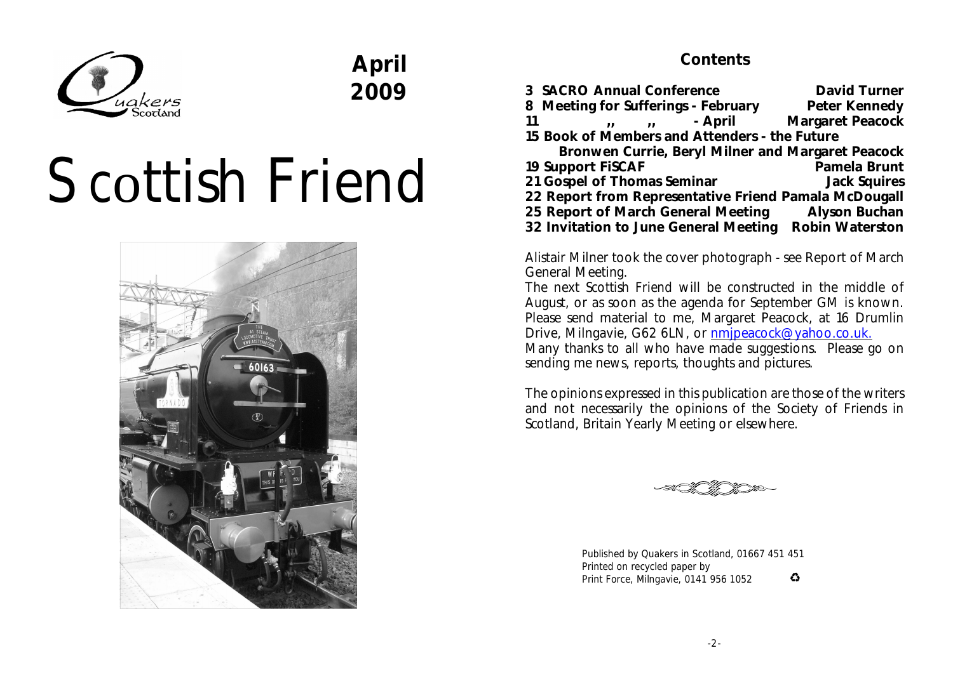

# **April 2009**

# Scottish Friend



## **Contents**

|    | 3 SACRO Annual Conference                             | David Turner     |
|----|-------------------------------------------------------|------------------|
|    | 8 Meeting for Sufferings - February                   | Peter Kennedy    |
| 11 | - April<br>$\mathbf{u}$ $\mathbf{u}$ $\mathbf{u}$     | Margaret Peacock |
|    | 15 Book of Members and Attenders - the Future         |                  |
|    | Bronwen Currie, Beryl Milner and Margaret Peacock     |                  |
|    | 19 Support FISCAF                                     | Pamela Brunt     |
|    | 21 Gospel of Thomas Seminar                           | Jack Squires     |
|    | 22 Report from Representative Friend Pamala McDougall |                  |

**25 Report of March General Meeting Alyson Buchan 32 Invitation to June General Meeting Robin Waterston**

Alistair Milner took the cover photograph - see Report of March General Meeting.

The next *Scottish Friend* will be constructed in the middle of August, or as soon as the agenda for September GM is known. Please send material to me, Margaret Peacock, at 16 Drumlin Drive, Milngavie, G62 6LN, or [nmjpeacock@yahoo.co.uk.](mailto:nmjpeacock@yahoo.co.uk.)

Many thanks to all who have made suggestions. Please go on sending me news, reports, thoughts and pictures.

The opinions expressed in this publication are those of the writers and not necessarily the opinions of the Society of Friends in Scotland, Britain Yearly Meeting or elsewhere.



Published by Quakers in Scotland, 01667 451 451 Printed on recycled paper by  $\bullet$ Print Force, Milngavie, 0141 956 1052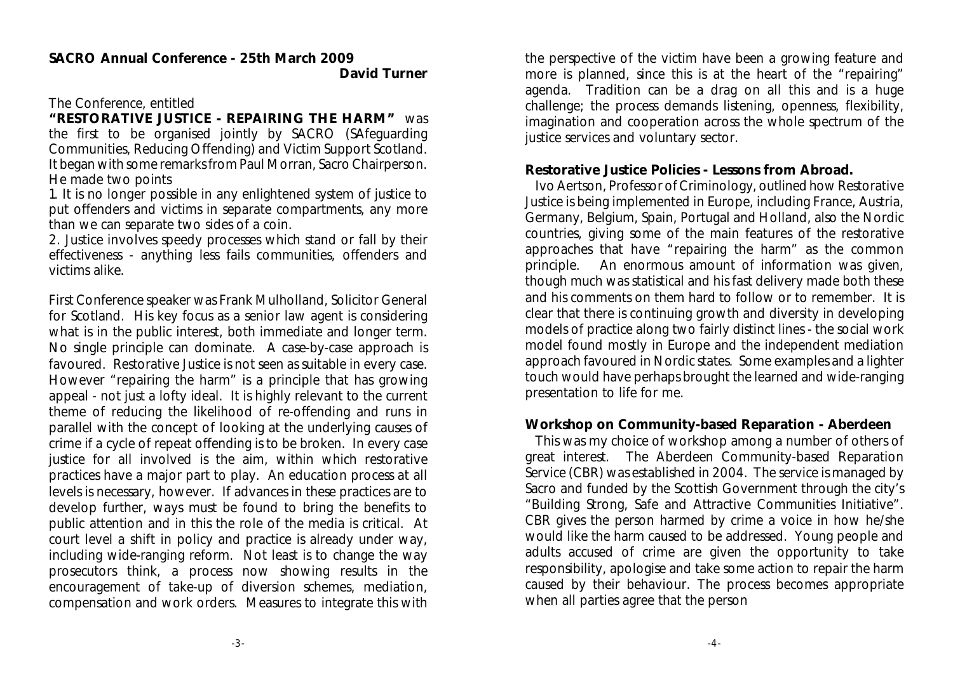#### The Conference, entitled

**"RESTORATIVE JUSTICE - REPAIRING THE HARM"** was the first to be organised jointly by SACRO (SAfeguarding Communities, Reducing Offending) and Victim Support Scotland. It began with some remarks from Paul Morran, Sacro Chairperson. He made two points

1. It is no longer possible in any enlightened system of justice to put offenders and victims in separate compartments, any more than we can separate two sides of a coin.

2. Justice involves speedy processes which stand or fall by their effectiveness - anything less fails communities, offenders and victims alike.

First Conference speaker was Frank Mulholland, Solicitor General for Scotland. His key focus as a senior law agent is considering what is in the public interest, both immediate and longer term. No single principle can dominate. A case-by-case approach is favoured. Restorative Justice is not seen as suitable in every case. However "repairing the harm" is a principle that has growing appeal - not just a lofty ideal. It is highly relevant to the current theme of reducing the likelihood of re-offending and runs in parallel with the concept of looking at the underlying causes of crime if a cycle of repeat offending is to be broken. In every case justice for all involved is the aim, within which restorative practices have a major part to play. An education process at all levels is necessary, however. If advances in these practices are to develop further, ways must be found to bring the benefits to public attention and in this the role of the media is critical. At court level a shift in policy and practice is already under way, including wide-ranging reform. Not least is to change the way prosecutors think, a process now showing results in the encouragement of take-up of diversion schemes, mediation, compensation and work orders. Measures to integrate this with the perspective of the victim have been a growing feature and more is planned, since this is at the heart of the "repairing" agenda. Tradition can be a drag on all this and is a huge challenge; the process demands listening, openness, flexibility, imagination and cooperation across the whole spectrum of the justice services and voluntary sector.

**Restorative Justice Policies - Lessons from Abroad.** 

Ivo Aertson, Professor of Criminology, outlined how Restorative Justice is being implemented in Europe, including France, Austria, Germany, Belgium, Spain, Portugal and Holland, also the Nordic countries, giving some of the main features of the restorative approaches that have "repairing the harm" as the common principle. An enormous amount of information was given, though much was statistical and his fast delivery made both these and his comments on them hard to follow or to remember. It is clear that there is continuing growth and diversity in developing models of practice along two fairly distinct lines - the social work model found mostly in Europe and the independent mediation approach favoured in Nordic states. Some examples and a lighter touch would have perhaps brought the learned and wide-ranging presentation to life for me.

#### **Workshop on Community-based Reparation - Aberdeen**

This was my choice of workshop among a number of others of great interest. The Aberdeen Community-based Reparation Service (CBR) was established in 2004. The service is managed by Sacro and funded by the Scottish Government through the city's "Building Strong, Safe and Attractive Communities Initiative". CBR gives the person harmed by crime a voice in how he/she would like the harm caused to be addressed. Young people and adults accused of crime are given the opportunity to take responsibility, apologise and take some action to repair the harm caused by their behaviour. The process becomes appropriate when all parties agree that the person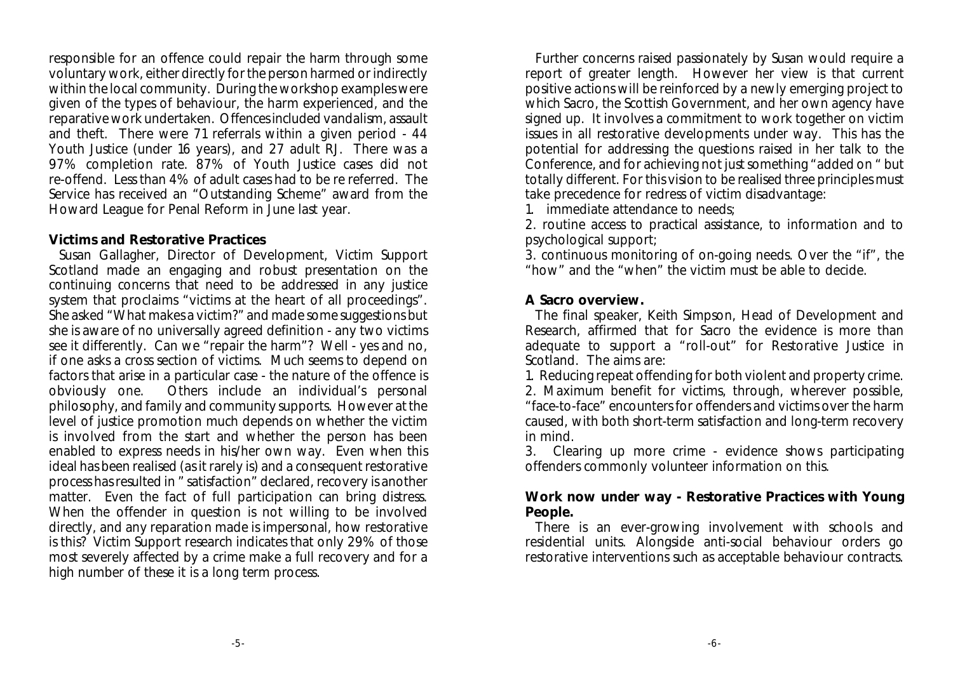responsible for an offence could repair the harm through some voluntary work, either directly for the person harmed or indirectly within the local community. During the workshop examples were given of the types of behaviour, the harm experienced, and the reparative work undertaken. Offences included vandalism, assault and theft. There were 71 referrals within a given period - 44 Youth Justice (under 16 years), and 27 adult RJ. There was a 97% completion rate. 87% of Youth Justice cases did not re-offend. Less than 4% of adult cases had to be re referred. The Service has received an "Outstanding Scheme" award from the Howard League for Penal Reform in June last year.

#### **Victims and Restorative Practices**

Susan Gallagher, Director of Development, Victim Support Scotland made an engaging and robust presentation on the continuing concerns that need to be addressed in any justice system that proclaims "victims at the heart of all proceedings". She asked "What makes a victim?" and made some suggestions but she is aware of no universally agreed definition - any two victims see it differently. Can we "repair the harm"? Well - yes and no, if one asks a cross section of victims. Much seems to depend on factors that arise in a particular case - the nature of the offence is obviously one. Others include an individual's personal philosophy, and family and community supports. However at the level of justice promotion much depends on whether the victim is involved from the start and whether the person has been enabled to express needs in his/her own way. Even when this ideal has been realised (as it rarely is) and a consequent restorative process has resulted in " satisfaction" declared, recovery is another matter. Even the fact of full participation can bring distress. When the offender in question is not willing to be involved directly, and any reparation made is impersonal, how restorative is this? Victim Support research indicates that only 29% of those most severely affected by a crime make a full recovery and for a high number of these it is a long term process.

Further concerns raised passionately by Susan would require a report of greater length. However her view is that current positive actions will be reinforced by a newly emerging project to which Sacro, the Scottish Government, and her own agency have signed up. It involves a commitment to work together on victim issues in all restorative developments under way. This has the potential for addressing the questions raised in her talk to the Conference, and for achieving not just something "added on " but totally different. For this vision to be realised three principles must take precedence for redress of victim disadvantage:

1. immediate attendance to needs;

2. routine access to practical assistance, to information and to psychological support;

3. continuous monitoring of on-going needs. Over the "if", the "how" and the "when" the victim must be able to decide.

#### **A Sacro overview.**

The final speaker, Keith Simpson, Head of Development and Research, affirmed that for Sacro the evidence is more than adequate to support a "roll-out" for Restorative Justice in Scotland. The aims are:

1. Reducing repeat offending for both violent and property crime. 2. Maximum benefit for victims, through, wherever possible, "face-to-face" encounters for offenders and victims over the harm caused, with both short-term satisfaction and long-term recovery in mind.

3. Clearing up more crime - evidence shows participating offenders commonly volunteer information on this.

**Work now under way - Restorative Practices with Young People.** 

There is an ever-growing involvement with schools and residential units. Alongside anti-social behaviour orders go restorative interventions such as acceptable behaviour contracts.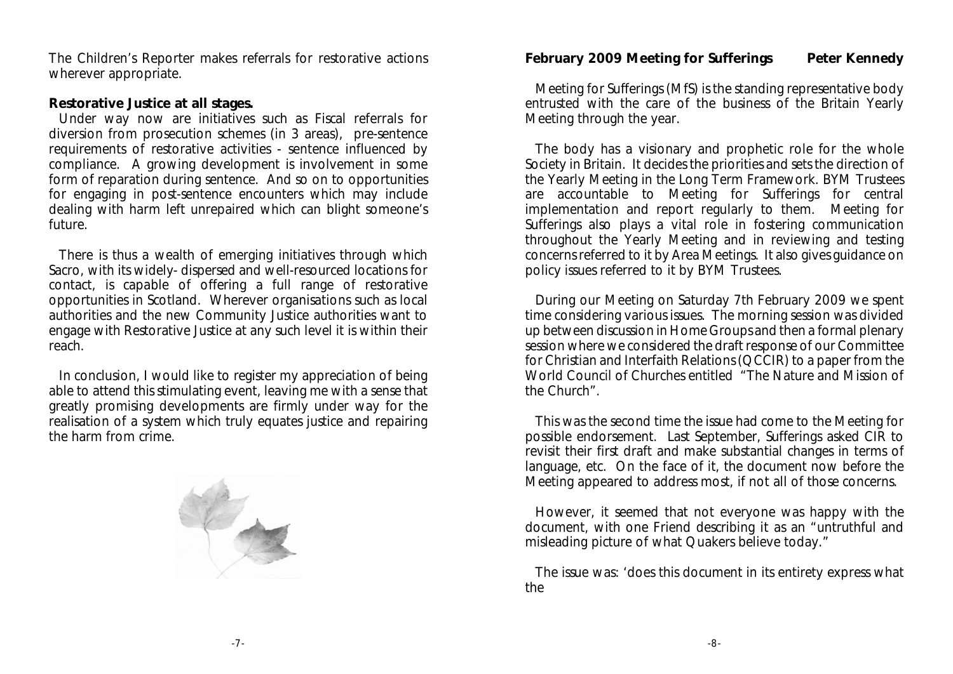The Children's Reporter makes referrals for restorative actions wherever appropriate.

**Restorative Justice at all stages.**

Under way now are initiatives such as Fiscal referrals for diversion from prosecution schemes (in 3 areas), pre-sentence requirements of restorative activities - sentence influenced by compliance. A growing development is involvement in some form of reparation during sentence. And so on to opportunities for engaging in post-sentence encounters which may include dealing with harm left unrepaired which can blight someone's future.

There is thus a wealth of emerging initiatives through which Sacro, with its widely- dispersed and well-resourced locations for contact, is capable of offering a full range of restorative opportunities in Scotland. Wherever organisations such as local authorities and the new Community Justice authorities want to engage with Restorative Justice at any such level it is within their reach.

In conclusion, I would like to register my appreciation of being able to attend this stimulating event, leaving me with a sense that greatly promising developments are firmly under way for the realisation of a system which truly equates justice and repairing the harm from crime.



**February 2009 Meeting for Sufferings Peter Kennedy**

Meeting for Sufferings (MfS) is the standing representative body entrusted with the care of the business of the Britain Yearly Meeting through the year.

The body has a visionary and prophetic role for the whole Society in Britain. It decides the priorities and sets the direction of the Yearly Meeting in the Long Term Framework. BYM Trustees are accountable to Meeting for Sufferings for central implementation and report regularly to them. Meeting for Sufferings also plays a vital role in fostering communication throughout the Yearly Meeting and in reviewing and testing concerns referred to it by Area Meetings. It also gives guidance on policy issues referred to it by BYM Trustees.

During our Meeting on Saturday 7th February 2009 we spent time considering various issues. The morning session was divided up between discussion in Home Groups and then a formal plenary session where we considered the draft response of our Committee for Christian and Interfaith Relations (QCCIR) to a paper from the World Council of Churches entitled "The Nature and Mission of the Church".

This was the second time the issue had come to the Meeting for possible endorsement. Last September, Sufferings asked CIR to revisit their first draft and make substantial changes in terms of language, etc. On the face of it, the document now before the Meeting appeared to address most, if not all of those concerns.

However, it seemed that not everyone was happy with the document, with one Friend describing it as an "untruthful and misleading picture of what Quakers believe today."

The issue was: 'does this document in its entirety express what the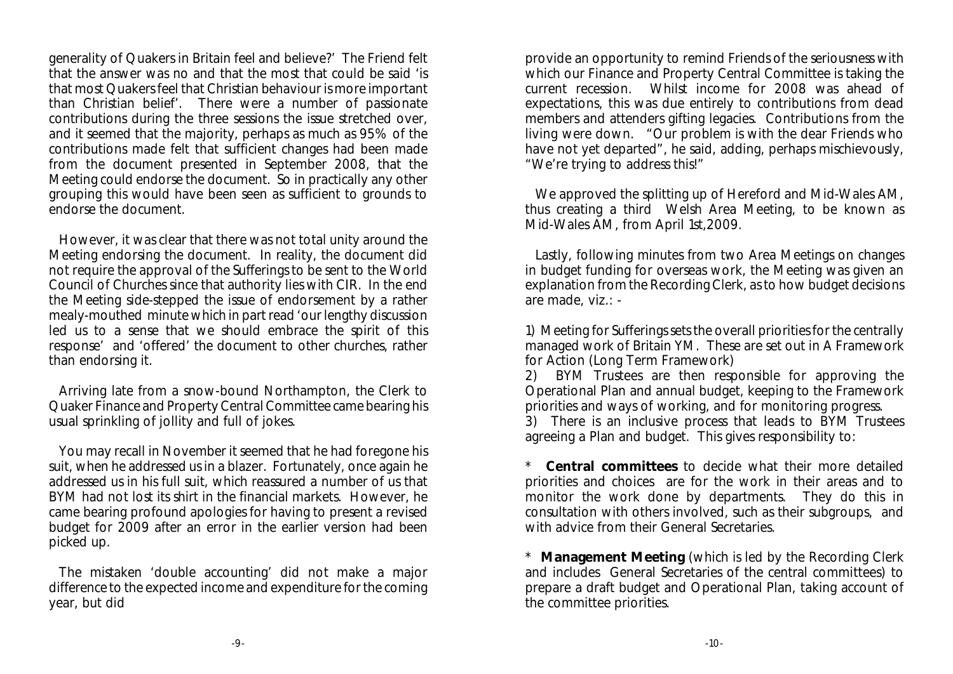generality of Quakers in Britain feel and believe?' The Friend felt that the answer was no and that the most that could be said 'is that most Quakers feel that Christian behaviour is more important than Christian belief'. There were a number of passionate contributions during the three sessions the issue stretched over, and it seemed that the majority, perhaps as much as 95% of the contributions made felt that sufficient changes had been made from the document presented in September 2008, that the Meeting could endorse the document. So in practically any other grouping this would have been seen as sufficient to grounds to endorse the document.

However, it was clear that there was not total unity around the Meeting endorsing the document. In reality, the document did not require the approval of the Sufferings to be sent to the World Council of Churches since that authority lies with CIR. In the end the Meeting side-stepped the issue of endorsement by a rather mealy-mouthed minute which in part read 'our lengthy discussion led us to a sense that we should embrace the spirit of this response' and 'offered' the document to other churches, rather than endorsing it.

Arriving late from a snow-bound Northampton, the Clerk to Quaker Finance and Property Central Committee came bearing his usual sprinkling of jollity and full of jokes.

You may recall in November it seemed that he had foregone his suit, when he addressed us in a blazer. Fortunately, once again he addressed us in his full suit, which reassured a number of us that BYM had not lost its shirt in the financial markets. However, he came bearing profound apologies for having to present a revised budget for 2009 after an error in the earlier version had been picked up.

The mistaken 'double accounting' did not make a major difference to the expected income and expenditure for the coming year, but did

provide an opportunity to remind Friends of the seriousness with which our Finance and Property Central Committee is taking the current recession. Whilst income for 2008 was ahead of expectations, this was due entirely to contributions from dead members and attenders gifting legacies. Contributions from the living were down. "Our problem is with the dear Friends who have not yet departed", he said, adding, perhaps mischievously, "We're trying to address this!"

We approved the splitting up of Hereford and Mid-Wales AM, thus creating a third Welsh Area Meeting, to be known as Mid-Wales AM, from April 1st,2009.

Lastly, following minutes from two Area Meetings on changes in budget funding for overseas work, the Meeting was given an explanation from the Recording Clerk, as to how budget decisions are made, viz.: -

1) Meeting for Sufferings sets the overall priorities for the centrally managed work of Britain YM. These are set out in A Framework for Action (Long Term Framework)

2) BYM Trustees are then responsible for approving the Operational Plan and annual budget, keeping to the Framework priorities and ways of working, and for monitoring progress.

3) There is an inclusive process that leads to BYM Trustees agreeing a Plan and budget. This gives responsibility to:

\* **Central committees** to decide what their more detailed priorities and choices are for the work in their areas and to monitor the work done by departments. They do this in consultation with others involved, such as their subgroups, and with advice from their General Secretaries.

\* **Management Meeting** (which is led by the Recording Clerk and includes General Secretaries of the central committees) to prepare a draft budget and Operational Plan, taking account of the committee priorities.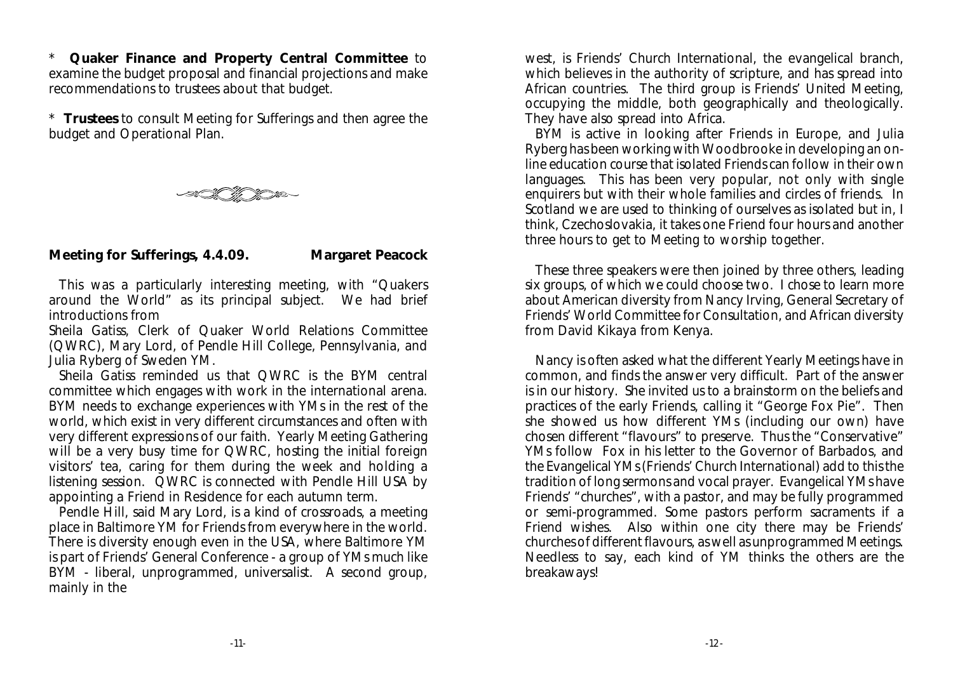\* **Quaker Finance and Property Central Committee** to examine the budget proposal and financial projections and make recommendations to trustees about that budget.

\* **Trustees** to consult Meeting for Sufferings and then agree the budget and Operational Plan.



**Meeting for Sufferings, 4.4.09. Margaret Peacock**

This was a particularly interesting meeting, with "Quakers around the World" as its principal subject. We had brief introductions from

Sheila Gatiss, Clerk of Quaker World Relations Committee (QWRC), Mary Lord, of Pendle Hill College, Pennsylvania, and Julia Ryberg of Sweden YM.

Sheila Gatiss reminded us that QWRC is the BYM central committee which engages with work in the international arena. BYM needs to exchange experiences with YMs in the rest of the world, which exist in very different circumstances and often with very different expressions of our faith. Yearly Meeting Gathering will be a very busy time for QWRC, hosting the initial foreign visitors' tea, caring for them during the week and holding a listening session. QWRC is connected with Pendle Hill USA by appointing a Friend in Residence for each autumn term.

Pendle Hill, said Mary Lord, is a kind of crossroads, a meeting place in Baltimore YM for Friends from everywhere in the world. There is diversity enough even in the USA, where Baltimore YM is part of Friends' General Conference - a group of YMs much like BYM - liberal, unprogrammed, universalist. A second group, mainly in the

west, is Friends' Church International, the evangelical branch, which believes in the authority of scripture, and has spread into African countries. The third group is Friends' United Meeting, occupying the middle, both geographically and theologically. They have also spread into Africa.

BYM is active in looking after Friends in Europe, and Julia Ryberg has been working with Woodbrooke in developing an online education course that isolated Friends can follow in their own languages. This has been very popular, not only with single enquirers but with their whole families and circles of friends. In Scotland we are used to thinking of ourselves as isolated but in, I think, Czechoslovakia, it takes one Friend four hours and another three hours to get to Meeting to worship together.

These three speakers were then joined by three others, leading six groups, of which we could choose two. I chose to learn more about American diversity from Nancy Irving, General Secretary of Friends' World Committee for Consultation, and African diversity from David Kikaya from Kenya.

Nancy is often asked what the different Yearly Meetings have in common, and finds the answer very difficult. Part of the answer is in our history. She invited us to a brainstorm on the beliefs and practices of the early Friends, calling it "George Fox Pie". Then she showed us how different YMs (including our own) have chosen different "flavours" to preserve. Thus the "Conservative" YMs follow Fox in his letter to the Governor of Barbados, and the Evangelical YMs (Friends' Church International) add to this the tradition of long sermons and vocal prayer. Evangelical YMs have Friends' "churches", with a pastor, and may be fully programmed or semi-programmed. Some pastors perform sacraments if a Friend wishes. Also within one city there may be Friends' churches of different flavours, as well as unprogrammed Meetings. Needless to say, each kind of YM thinks the others are the breakaways!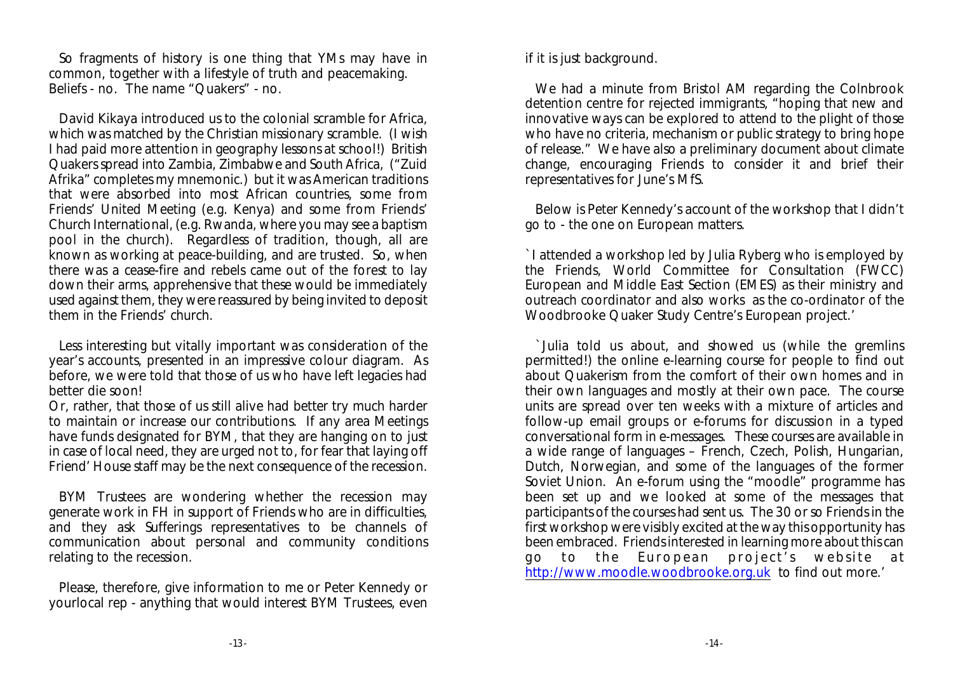So fragments of history is one thing that YMs may have in common, together with a lifestyle of truth and peacemaking. Beliefs - no. The name "Quakers" - no.

David Kikaya introduced us to the colonial scramble for Africa, which was matched by the Christian missionary scramble. (I wish I had paid more attention in geography lessons at school!) British Quakers spread into Zambia, Zimbabwe and South Africa, ("Zuid Afrika" completes my mnemonic.) but it was American traditions that were absorbed into most African countries, some from Friends' United Meeting (e.g. Kenya) and some from Friends' Church International, (e.g. Rwanda, where you may see a baptism pool in the church). Regardless of tradition, though, all are known as working at peace-building, and are trusted. So, when there was a cease-fire and rebels came out of the forest to lay down their arms, apprehensive that these would be immediately used against them, they were reassured by being invited to deposit them in the Friends' church.

Less interesting but vitally important was consideration of the year's accounts, presented in an impressive colour diagram. As before, we were told that those of us who have left legacies had better die soon!

Or, rather, that those of us still alive had better try much harder to maintain or increase our contributions. If any area Meetings have funds designated for BYM, that they are hanging on to just in case of local need, they are urged not to, for fear that laying off Friend' House staff may be the next consequence of the recession.

BYM Trustees are wondering whether the recession may generate work in FH in support of Friends who are in difficulties, and they ask Sufferings representatives to be channels of communication about personal and community conditions relating to the recession.

Please, therefore, give information to me or Peter Kennedy or yourlocal rep - anything that would interest BYM Trustees, even if it is just background.

We had a minute from Bristol AM regarding the Colnbrook detention centre for rejected immigrants, "hoping that new and innovative ways can be explored to attend to the plight of those who have no criteria, mechanism or public strategy to bring hope of release." We have also a preliminary document about climate change, encouraging Friends to consider it and brief their representatives for June's MfS.

Below is Peter Kennedy's account of the workshop that I didn't go to - the one on European matters.

`I attended a workshop led by Julia Ryberg who is employed by the Friends, World Committee for Consultation (FWCC) European and Middle East Section (EMES) as their ministry and outreach coordinator and also works as the co-ordinator of the Woodbrooke Quaker Study Centre's European project.'

`Julia told us about, and showed us (while the gremlins permitted!) the online e-learning course for people to find out about Quakerism from the comfort of their own homes and in their own languages and mostly at their own pace. The course units are spread over ten weeks with a mixture of articles and follow-up email groups or e-forums for discussion in a typed conversational form in e-messages. These courses are available in a wide range of languages – French, Czech, Polish, Hungarian, Dutch, Norwegian, and some of the languages of the former Soviet Union. An e-forum using the "moodle" programme has been set up and we looked at some of the messages that participants of the courses had sent us. The 30 or so Friends in the first workshop were visibly excited at the way this opportunity has been embraced. Friends interested in learning more about this can go to the European project's website at <http://www.moodle.woodbrooke.org.uk> to find out more.'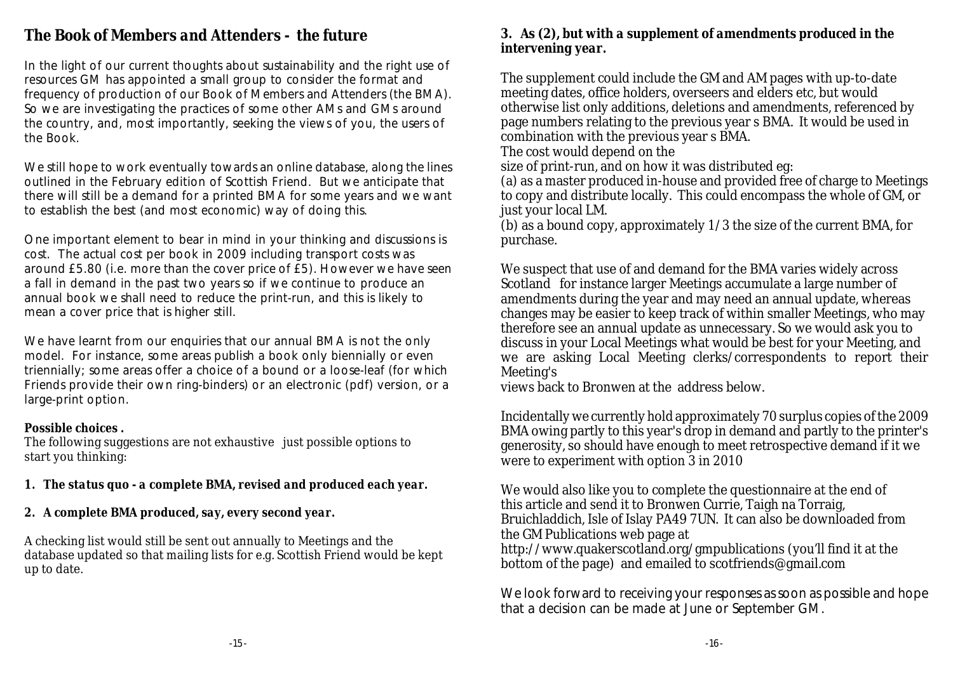## *The Book of Members and Attenders - the future*

In the light of our current thoughts about sustainability and the right use of resources GM has appointed a small group to consider the format and frequency of production of our Book of Members and Attenders (the BMA). So we are investigating the practices of some other AMs and GMs around the country, and, most importantly, seeking the views of you, the users of the Book.

We still hope to work eventually towards an online database, along the lines outlined in the February edition of Scottish Friend. But we anticipate that there will still be a demand for a printed BMA for some years and we want to establish the best (and most economic) way of doing this.

One important element to bear in mind in your thinking and discussions is cost. The actual cost per book in 2009 including transport costs was around £5.80 (i.e. more than the cover price of £5). However we have seen a fall in demand in the past two years so if we continue to produce an annual book we shall need to reduce the print-run, and this is likely to mean a cover price that is higher still.

We have learnt from our enquiries that our annual BMA is not the only model. For instance, some areas publish a book only biennially or even triennially; some areas offer a choice of a bound or a loose-leaf (for which Friends provide their own ring-binders) or an electronic (pdf) version, or a large-print option.

#### *Possible choices .*

The following suggestions are not exhaustive just possible options to start you thinking:

- *1. The status quo a complete BMA, revised and produced each year.*
- *2. A complete BMA produced, say, every second year.*

A checking list would still be sent out annually to Meetings and the database updated so that mailing lists for e.g. Scottish Friend would be kept up to date.

#### *3. As (2), but with a supplement of amendments produced in the intervening year.*

The supplement could include the GM and AM pages with up-to-date meeting dates, office holders, overseers and elders etc, but would otherwise list only additions, deletions and amendments, referenced by page numbers relating to the previous year s BMA. It would be used in combination with the previous year s BMA.

The cost would depend on the

size of print-run, and on how it was distributed eg:

(a) as a master produced in-house and provided free of charge to Meetings to copy and distribute locally. This could encompass the whole of GM, or just your local LM.

(b) as a bound copy, approximately 1/3 the size of the current BMA, for purchase.

We suspect that use of and demand for the BMA varies widely across Scotland for instance larger Meetings accumulate a large number of amendments during the year and may need an annual update, whereas changes may be easier to keep track of within smaller Meetings, who may therefore see an annual update as unnecessary. So we would ask you to discuss in your Local Meetings what would be best for your Meeting, and we are asking Local Meeting clerks/correspondents to report their Meeting's

views back to Bronwen at the address below.

Incidentally we currently hold approximately 70 surplus copies of the 2009 BMA owing partly to this year's drop in demand and partly to the printer's generosity, so should have enough to meet retrospective demand if it we were to experiment with option 3 in 2010

We would also like you to complete the questionnaire at the end of this article and send it to Bronwen Currie, Taigh na Torraig, Bruichladdich, Isle of Islay PA49 7UN. It can also be downloaded from the GM Publications web page at http://www.quakerscotland.org/gmpublications (you'll find it at the bottom of the page) and emailed to scotfriends@gmail.com

We look forward to receiving your responses as soon as possible and hope that a decision can be made at June or September GM.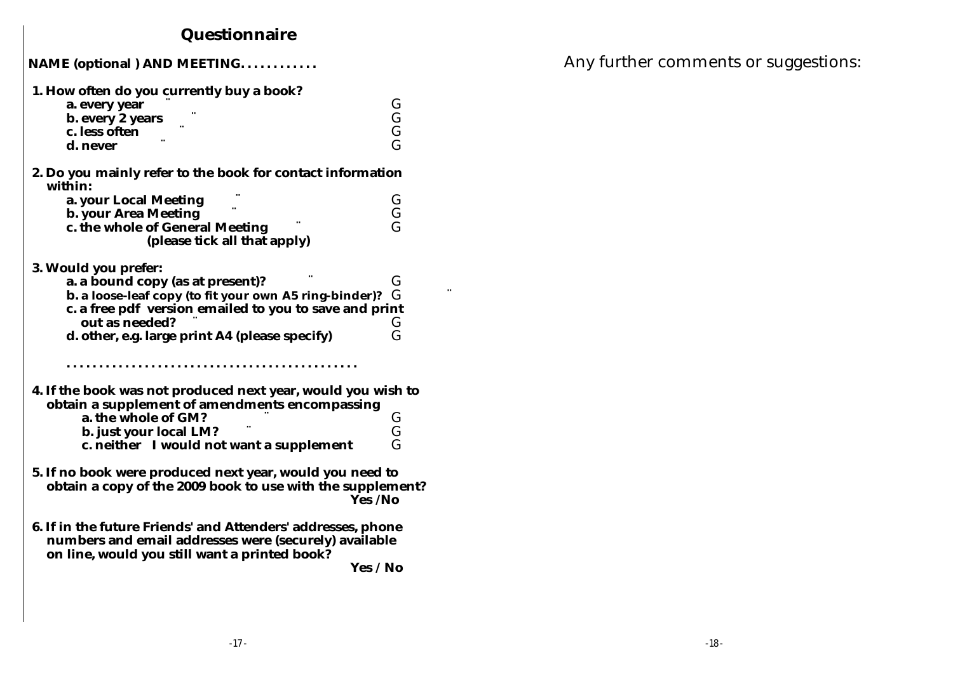# **Questionnaire**

| NAME (optional) AND MEETING. |  |
|------------------------------|--|
|------------------------------|--|

| 1. How often do you currently buy a book?<br>a. every year<br>b. every 2 years<br>c. less often<br>d. never                                                                                                                                      | G<br>G<br>G<br>Ġ |  |  |
|--------------------------------------------------------------------------------------------------------------------------------------------------------------------------------------------------------------------------------------------------|------------------|--|--|
| 2. Do you mainly refer to the book for contact information<br>within:<br>a. your Local Meeting<br>b. your Area Meeting                                                                                                                           | G<br>Ğ<br>G      |  |  |
| c. the whole of General Meeting<br>(please tick all that apply)                                                                                                                                                                                  |                  |  |  |
| 3. Would you prefer:<br>a. a bound copy (as at present)?<br>b. a loose-leaf copy (to fit your own A5 ring-binder)?<br>c. a free pdf version emailed to you to save and print<br>out as needed?<br>d. other, e.g. large print A4 (please specify) | G<br>G<br>G<br>Ġ |  |  |
| 4. If the book was not produced next year, would you wish to<br>obtain a supplement of amendments encompassing                                                                                                                                   |                  |  |  |
| a. the whole of GM?<br>b. just your local LM?<br>c. neither I would not want a supplement                                                                                                                                                        | G<br>G<br>G      |  |  |
| 5. If no book were produced next year, would you need to<br>obtain a copy of the 2009 book to use with the supplement?<br>Yes /No                                                                                                                |                  |  |  |
| 6. If in the future Friends' and Attenders' addresses, phone<br>numbers and email addresses were (securely) available<br>on line, would you still want a printed book?                                                                           |                  |  |  |
| Yes / No                                                                                                                                                                                                                                         |                  |  |  |

Any further comments or suggestions: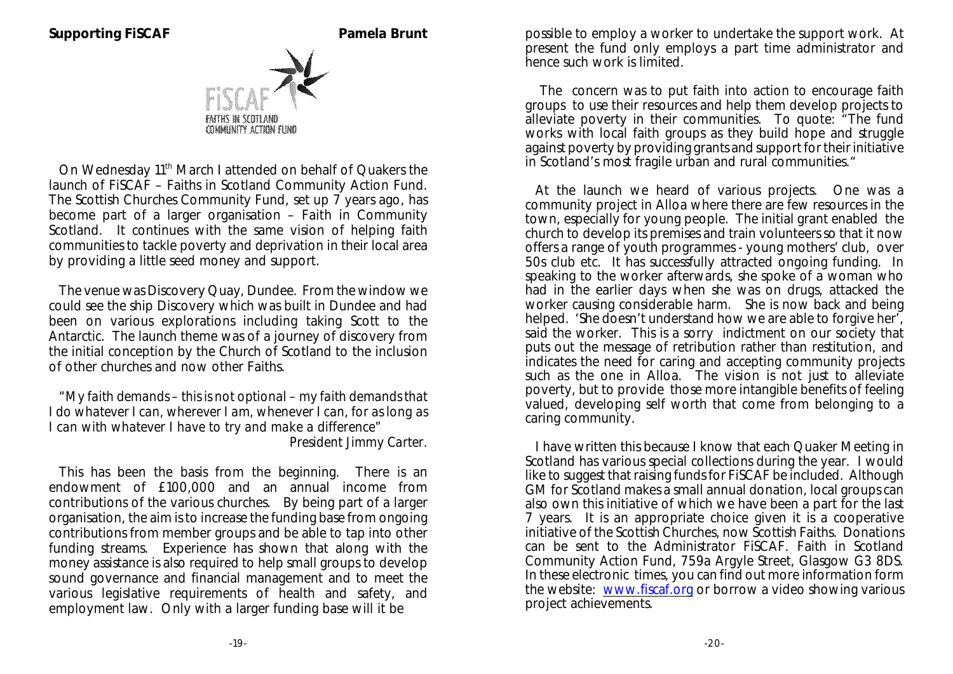

On Wednesday 11<sup>th</sup> March I attended on behalf of Quakers the launch of FiSCAF – Faiths in Scotland Community Action Fund. The Scottish Churches Community Fund, set up 7 years ago, has become part of a larger organisation – Faith in Community Scotland. It continues with the same vision of helping faith communities to tackle poverty and deprivation in their local area by providing a little seed money and support.

The venue was Discovery Quay, Dundee. From the window we could see the ship Discovery which was built in Dundee and had been on various explorations including taking Scott to the Antarctic. The launch theme was of a journey of discovery from the initial conception by the Church of Scotland to the inclusion of other churches and now other Faiths.

*"My faith demands – this is not optional – my faith demands that I do whatever I can, wherever I am, whenever I can, for as long as I can with whatever I have to try and make a difference" President Jimmy Carter.*

This has been the basis from the beginning. There is an endowment of £100,000 and an annual income from contributions of the various churches. By being part of a larger organisation, the aim is to increase the funding base from ongoing contributions from member groups and be able to tap into other funding streams. Experience has shown that along with the money assistance is also required to help small groups to develop sound governance and financial management and to meet the various legislative requirements of health and safety, and employment law. Only with a larger funding base will it be

possible to employ a worker to undertake the support work. At present the fund only employs a part time administrator and hence such work is limited.

 The concern was to put faith into action to encourage faith groups to use their resources and help them develop projects to alleviate poverty in their communities. To quote: "The fund works with local faith groups as they build hope and struggle against poverty by providing grants and support for their initiative in Scotland's most fragile urban and rural communities."

At the launch we heard of various projects. One was a community project in Alloa where there are few resources in the town, especially for young people. The initial grant enabled the church to develop its premises and train volunteers so that it now offers a range of youth programmes - young mothers' club, over 50s club etc. It has successfully attracted ongoing funding. In speaking to the worker afterwards, she spoke of a woman who had in the earlier days when she was on drugs, attacked the worker causing considerable harm. She is now back and being helped. 'She doesn't understand how we are able to forgive her. said the worker. This is a sorry indictment on our society that puts out the message of retribution rather than restitution, and indicates the need for caring and accepting community projects such as the one in Alloa. The vision is not just to alleviate poverty, but to provide those more intangible benefits of feeling valued, developing self worth that come from belonging to a caring community.

I have written this because I know that each Quaker Meeting in Scotland has various special collections during the year. I would like to suggest that raising funds for FiSCAF be included. Although GM for Scotland makes a small annual donation, local groups can also own this initiative of which we have been a part for the last 7 years. It is an appropriate choice given it is a cooperative initiative of the Scottish Churches, now Scottish Faiths. Donations can be sent to the Administrator FiSCAF. Faith in Scotland Community Action Fund, 759a Argyle Street, Glasgow G3 8DS. In these electronic times, you can find out more information form the website: [www.fiscaf.org](http://www.fiscaf.org) or borrow a video showing various project achievements.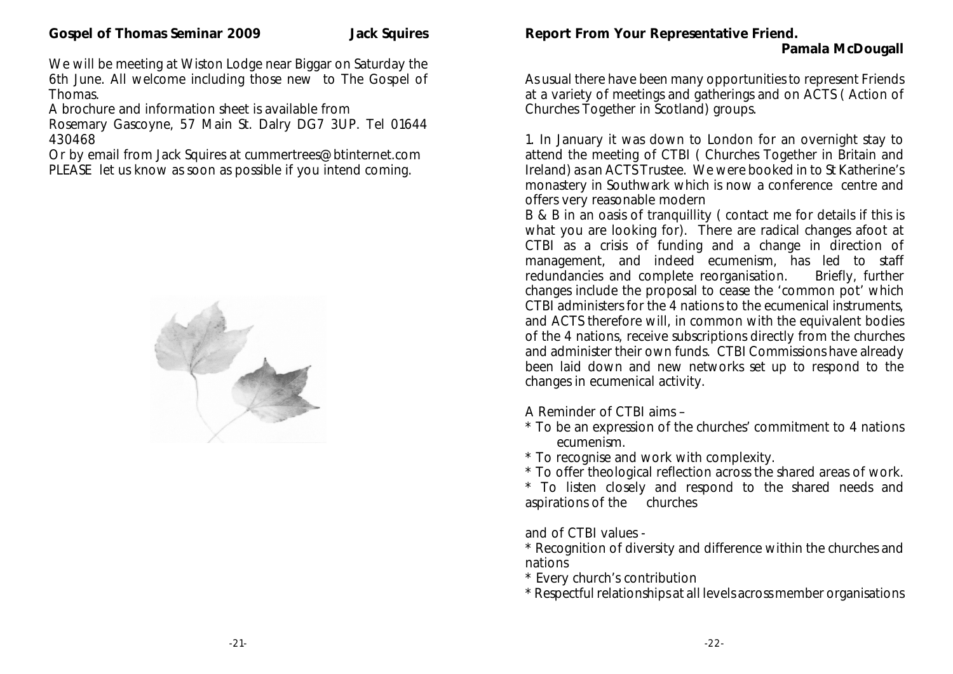We will be meeting at Wiston Lodge near Biggar on Saturday the 6th June. All welcome including those new to The Gospel of Thomas.

A brochure and information sheet is available from

Rosemary Gascoyne, 57 Main St. Dalry DG7 3UP. Tel 01644 430468

Or by email from Jack Squires at cummertrees@btinternet.com PLEASE let us know as soon as possible if you intend coming.



**Report From Your Representative Friend.**

As usual there have been many opportunities to represent Friends at a variety of meetings and gatherings and on ACTS ( Action of Churches Together in Scotland) groups.

1. In January it was down to London for an overnight stay to attend the meeting of CTBI ( Churches Together in Britain and Ireland) as an ACTS Trustee. We were booked in to St Katherine's monastery in Southwark which is now a conference centre and offers very reasonable modern

B & B in an oasis of tranquillity ( contact me for details if this is what you are looking for). There are radical changes afoot at CTBI as a crisis of funding and a change in direction of management, and indeed ecumenism, has led to staff redundancies and complete reorganisation. Briefly, further redundancies and complete reorganisation. changes include the proposal to cease the 'common pot' which CTBI administers for the 4 nations to the ecumenical instruments, and ACTS therefore will, in common with the equivalent bodies of the 4 nations, receive subscriptions directly from the churches and administer their own funds. CTBI Commissions have already been laid down and new networks set up to respond to the changes in ecumenical activity.

A Reminder of CTBI aims –

\* To be an expression of the churches' commitment to 4 nations ecumenism.

\* To recognise and work with complexity.

\* To offer theological reflection across the shared areas of work.

\* To listen closely and respond to the shared needs and aspirations of the churches

and of CTBI values -

\* Recognition of diversity and difference within the churches and nations

\* Every church's contribution

\* Respectful relationships at all levels across member organisations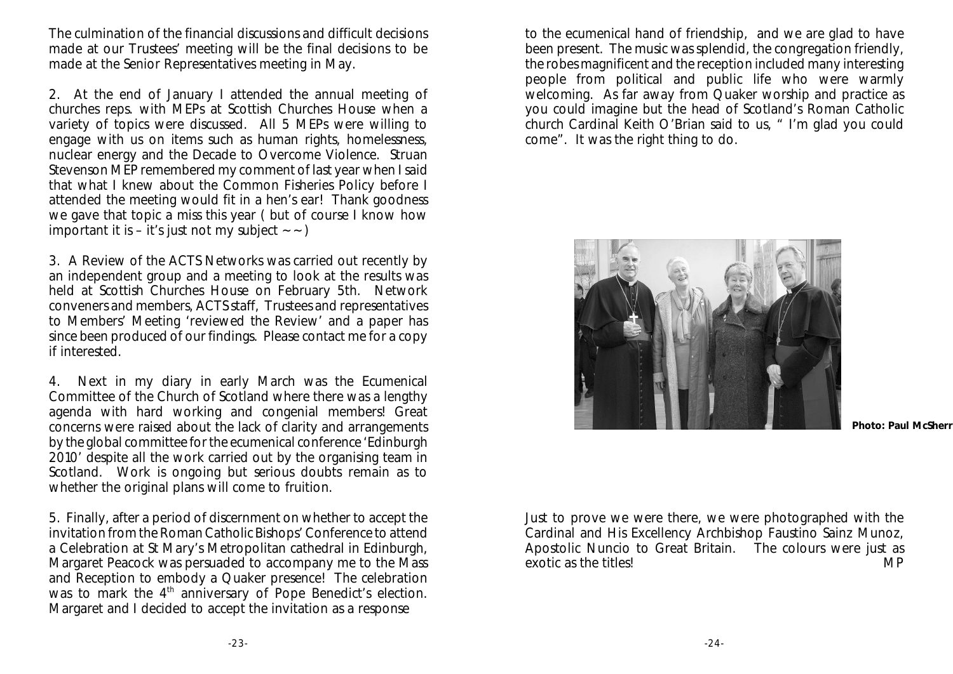The culmination of the financial discussions and difficult decisions made at our Trustees' meeting will be the final decisions to be made at the Senior Representatives meeting in May.

2. At the end of January I attended the annual meeting of churches reps. with MEPs at Scottish Churches House when a variety of topics were discussed. All 5 MEPs were willing to engage with us on items such as human rights, homelessness, nuclear energy and the Decade to Overcome Violence. Struan Stevenson MEP remembered my comment of last year when I said that what I knew about the Common Fisheries Policy before I attended the meeting would fit in a hen's ear! Thank goodness we gave that topic a miss this year ( but of course I know how important it is – it's just not my subject  $\sim$   $\sim$ )

3. A Review of the ACTS Networks was carried out recently by an independent group and a meeting to look at the results was held at Scottish Churches House on February 5th. Network conveners and members, ACTS staff, Trustees and representatives to Members' Meeting 'reviewed the Review' and a paper has since been produced of our findings. Please contact me for a copy if interested.

4. Next in my diary in early March was the Ecumenical Committee of the Church of Scotland where there was a lengthy agenda with hard working and congenial members! Great concerns were raised about the lack of clarity and arrangements by the global committee for the ecumenical conference 'Edinburgh 2010' despite all the work carried out by the organising team in Scotland. Work is ongoing but serious doubts remain as to whether the original plans will come to fruition.

5. Finally, after a period of discernment on whether to accept the invitation from the Roman Catholic Bishops' Conference to attend a Celebration at St Mary's Metropolitan cathedral in Edinburgh, Margaret Peacock was persuaded to accompany me to the Mass and Reception to embody a Quaker presence! The celebration was to mark the  $4<sup>th</sup>$  anniversary of Pope Benedict's election. Margaret and I decided to accept the invitation as a response

to the ecumenical hand of friendship, and we are glad to have been present. The music was splendid, the congregation friendly, the robes magnificent and the reception included many interesting people from political and public life who were warmly welcoming. As far away from Quaker worship and practice as you could imagine but the head of Scotland's Roman Catholic church Cardinal Keith O'Brian said to us, " I'm glad you could come". It was the right thing to do.



**Photo: Paul McSherry**

Just to prove we were there, we were photographed with the Cardinal and His Excellency Archbishop Faustino Sainz Munoz, Apostolic Nuncio to Great Britain. The colours were just as exotic as the titles!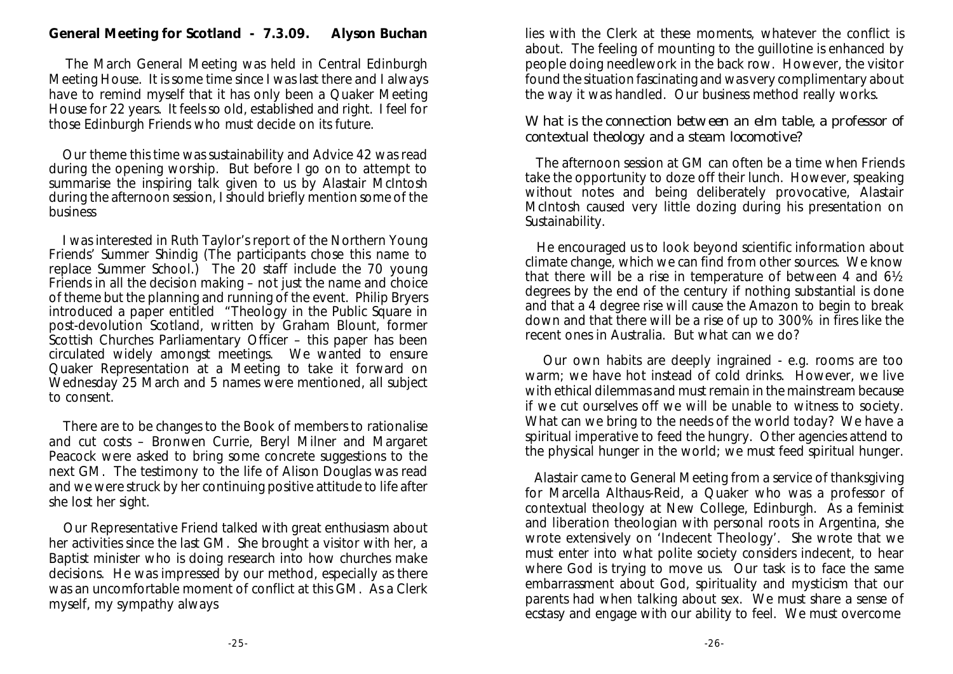**General Meeting for Scotland - 7.3.09. Alyson Buchan**

 The March General Meeting was held in Central Edinburgh Meeting House. It is some time since I was last there and I always have to remind myself that it has only been a Quaker Meeting House for 22 years. It feels so old, established and right. I feel for those Edinburgh Friends who must decide on its future.

 Our theme this time was sustainability and Advice 42 was read during the opening worship. But before I go on to attempt to summarise the inspiring talk given to us by Alastair McIntosh during the afternoon session, I should briefly mention some of the business

 I was interested in Ruth Taylor's report of the Northern Young Friends' Summer Shindig (The participants chose this name to replace Summer School.) The 20 staff include the 70 young Friends in all the decision making – not just the name and choice of theme but the planning and running of the event. Philip Bryers introduced a paper entitled "Theology in the Public Square in post-devolution Scotland, written by Graham Blount, former Scottish Churches Parliamentary Officer – this paper has been circulated widely amongst meetings. We wanted to ensure Quaker Representation at a Meeting to take it forward on Wednesday 25 March and 5 names were mentioned, all subject to consent.

 There are to be changes to the Book of members to rationalise and cut costs – Bronwen Currie, Beryl Milner and Margaret Peacock were asked to bring some concrete suggestions to the next GM. The testimony to the life of Alison Douglas was read and we were struck by her continuing positive attitude to life after she lost her sight.

 Our Representative Friend talked with great enthusiasm about her activities since the last GM. She brought a visitor with her, a Baptist minister who is doing research into how churches make decisions. He was impressed by our method, especially as there was an uncomfortable moment of conflict at this GM. As a Clerk myself, my sympathy always

lies with the Clerk at these moments, whatever the conflict is about. The feeling of mounting to the guillotine is enhanced by people doing needlework in the back row. However, the visitor found the situation fascinating and was very complimentary about the way it was handled. Our business method really works.

What is the connection between an elm table, a professor of contextual theology and a steam locomotive?

 The afternoon session at GM can often be a time when Friends take the opportunity to doze off their lunch. However, speaking without notes and being deliberately provocative, Alastair McIntosh caused very little dozing during his presentation on Sustainability.

 He encouraged us to look beyond scientific information about climate change, which we can find from other sources. We know that there will be a rise in temperature of between 4 and 6½ degrees by the end of the century if nothing substantial is done and that a 4 degree rise will cause the Amazon to begin to break down and that there will be a rise of up to 300% in fires like the recent ones in Australia. But what can we do?

 Our own habits are deeply ingrained - e.g. rooms are too warm; we have hot instead of cold drinks. However, we live with ethical dilemmas and must remain in the mainstream because if we cut ourselves off we will be unable to witness to society. What can we bring to the needs of the world today? We have a spiritual imperative to feed the hungry. Other agencies attend to the physical hunger in the world; we must feed spiritual hunger.

 Alastair came to General Meeting from a service of thanksgiving for Marcella Althaus-Reid, a Quaker who was a professor of contextual theology at New College, Edinburgh. As a feminist and liberation theologian with personal roots in Argentina, she wrote extensively on 'Indecent Theology'. She wrote that we must enter into what polite society considers indecent, to hear where God is trying to move us. Our task is to face the same embarrassment about God, spirituality and mysticism that our parents had when talking about sex. We must share a sense of ecstasy and engage with our ability to feel. We must overcome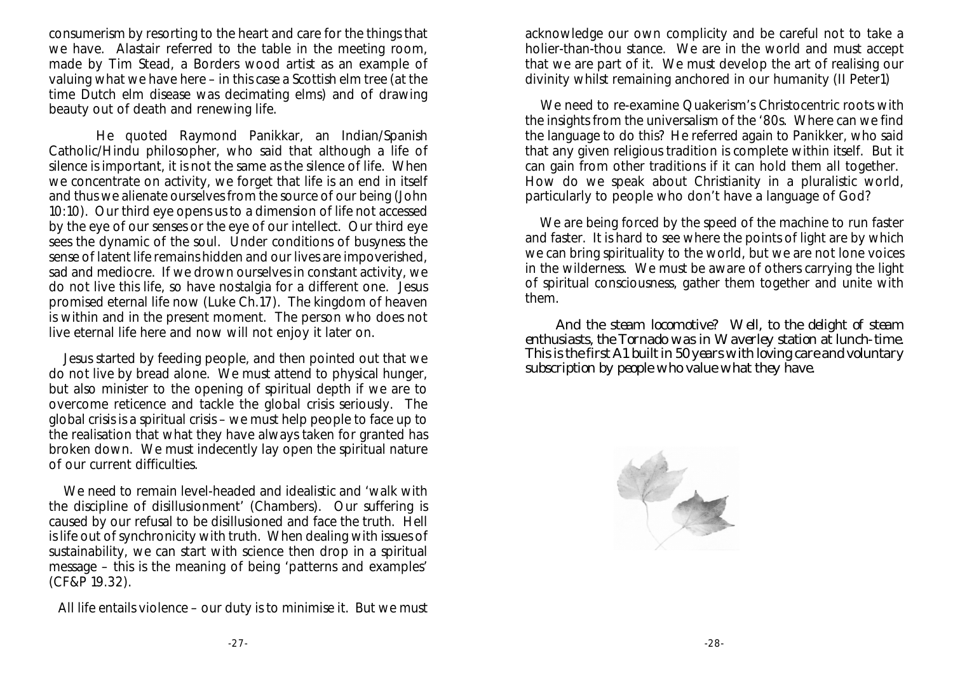consumerism by resorting to the heart and care for the things that we have. Alastair referred to the table in the meeting room, made by Tim Stead, a Borders wood artist as an example of valuing what we have here – in this case a Scottish elm tree (at the time Dutch elm disease was decimating elms) and of drawing beauty out of death and renewing life.

 He quoted Raymond Panikkar, an Indian/Spanish Catholic/Hindu philosopher, who said that although a life of silence is important, it is not the same as the silence of life. When we concentrate on activity, we forget that life is an end in itself and thus we alienate ourselves from the source of our being (John 10:10). Our third eye opens us to a dimension of life not accessed by the eye of our senses or the eye of our intellect. Our third eye sees the dynamic of the soul. Under conditions of busyness the sense of latent life remains hidden and our lives are impoverished, sad and mediocre. If we drown ourselves in constant activity, we do not live this life, so have nostalgia for a different one. Jesus promised eternal life now (Luke Ch.17). The kingdom of heaven is within and in the present moment. The person who does not live eternal life here and now will not enjoy it later on.

 Jesus started by feeding people, and then pointed out that we do not live by bread alone. We must attend to physical hunger, but also minister to the opening of spiritual depth if we are to overcome reticence and tackle the global crisis seriously. The global crisis is a spiritual crisis – we must help people to face up to the realisation that what they have always taken for granted has broken down. We must indecently lay open the spiritual nature of our current difficulties.

 We need to remain level-headed and idealistic and 'walk with the discipline of disillusionment' (Chambers). Our suffering is caused by our refusal to be disillusioned and face the truth. Hell is life out of synchronicity with truth. When dealing with issues of sustainability, we can start with science then drop in a spiritual message – this is the meaning of being 'patterns and examples' (CF&P 19.32).

All life entails violence – our duty is to minimise it. But we must

acknowledge our own complicity and be careful not to take a holier-than-thou stance. We are in the world and must accept that we are part of it. We must develop the art of realising our divinity whilst remaining anchored in our humanity (II Peter1)

 We need to re-examine Quakerism's Christocentric roots with the insights from the universalism of the '80s. Where can we find the language to do this? He referred again to Panikker, who said that any given religious tradition is complete within itself. But it can gain from other traditions if it can hold them all together. How do we speak about Christianity in a pluralistic world, particularly to people who don't have a language of God?

We are being forced by the speed of the machine to run faster and faster. It is hard to see where the points of light are by which we can bring spirituality to the world, but we are not lone voices in the wilderness. We must be aware of others carrying the light of spiritual consciousness, gather them together and unite with them.

 And the steam locomotive? Well, to the delight of steam enthusiasts, the Tornado was in Waverley station at lunch-time. This is the first A1 built in 50 years with loving care and voluntary subscription by people who value what they have.

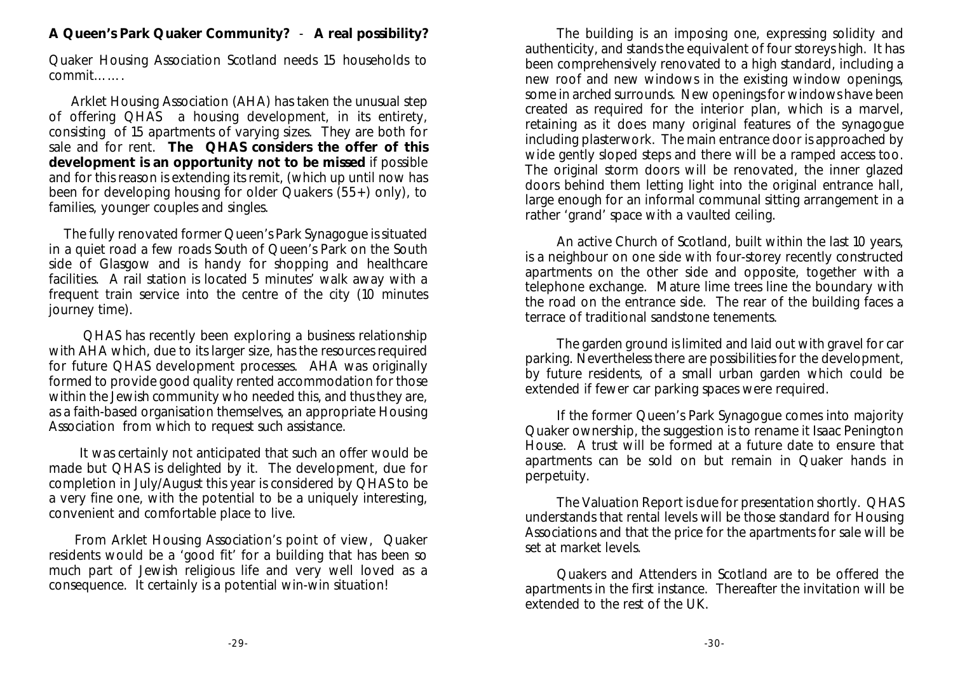**A Queen's Park Quaker Community?** - **A real possibility?**

Quaker Housing Association Scotland needs 15 households to commit…….

 Arklet Housing Association (AHA) has taken the unusual step of offering QHAS a housing development, in its entirety, consisting of 15 apartments of varying sizes. They are both for sale and for rent. **The QHAS considers the offer of this development is an opportunity not to be missed** if possible and for this reason is extending its remit, (which up until now has been for developing housing for older Quakers (55+) only), to families, younger couples and singles.

 The fully renovated former Queen's Park Synagogue is situated in a quiet road a few roads South of Queen's Park on the South side of Glasgow and is handy for shopping and healthcare facilities. A rail station is located 5 minutes' walk away with a frequent train service into the centre of the city (10 minutes journey time).

 QHAS has recently been exploring a business relationship with AHA which, due to its larger size, has the resources required for future QHAS development processes. AHA was originally formed to provide good quality rented accommodation for those within the Jewish community who needed this, and thus they are, as a faith-based organisation themselves, an appropriate Housing Association from which to request such assistance.

 It was certainly not anticipated that such an offer would be made but QHAS is delighted by it. The development, due for completion in July/August this year is considered by QHAS to be a very fine one, with the potential to be a uniquely interesting, convenient and comfortable place to live.

 From Arklet Housing Association's point of view, Quaker residents would be a 'good fit' for a building that has been so much part of Jewish religious life and very well loved as a consequence. It certainly is a potential win-win situation!

The building is an imposing one, expressing solidity and authenticity, and stands the equivalent of four storeys high. It has been comprehensively renovated to a high standard, including a new roof and new windows in the existing window openings, some in arched surrounds. New openings for windows have been created as required for the interior plan, which is a marvel, retaining as it does many original features of the synagogue including plasterwork. The main entrance door is approached by wide gently sloped steps and there will be a ramped access too. The original storm doors will be renovated, the inner glazed doors behind them letting light into the original entrance hall, large enough for an informal communal sitting arrangement in a rather 'grand' space with a vaulted ceiling.

An active Church of Scotland, built within the last 10 years, is a neighbour on one side with four-storey recently constructed apartments on the other side and opposite, together with a telephone exchange. Mature lime trees line the boundary with the road on the entrance side. The rear of the building faces a terrace of traditional sandstone tenements.

The garden ground is limited and laid out with gravel for car parking. Nevertheless there are possibilities for the development, by future residents, of a small urban garden which could be extended if fewer car parking spaces were required.

If the former Queen's Park Synagogue comes into majority Quaker ownership, the suggestion is to rename it Isaac Penington House. A trust will be formed at a future date to ensure that apartments can be sold on but remain in Quaker hands in perpetuity.

The Valuation Report is due for presentation shortly. QHAS understands that rental levels will be those standard for Housing Associations and that the price for the apartments for sale will be set at market levels.

Quakers and Attenders in Scotland are to be offered the apartments in the first instance. Thereafter the invitation will be extended to the rest of the UK.